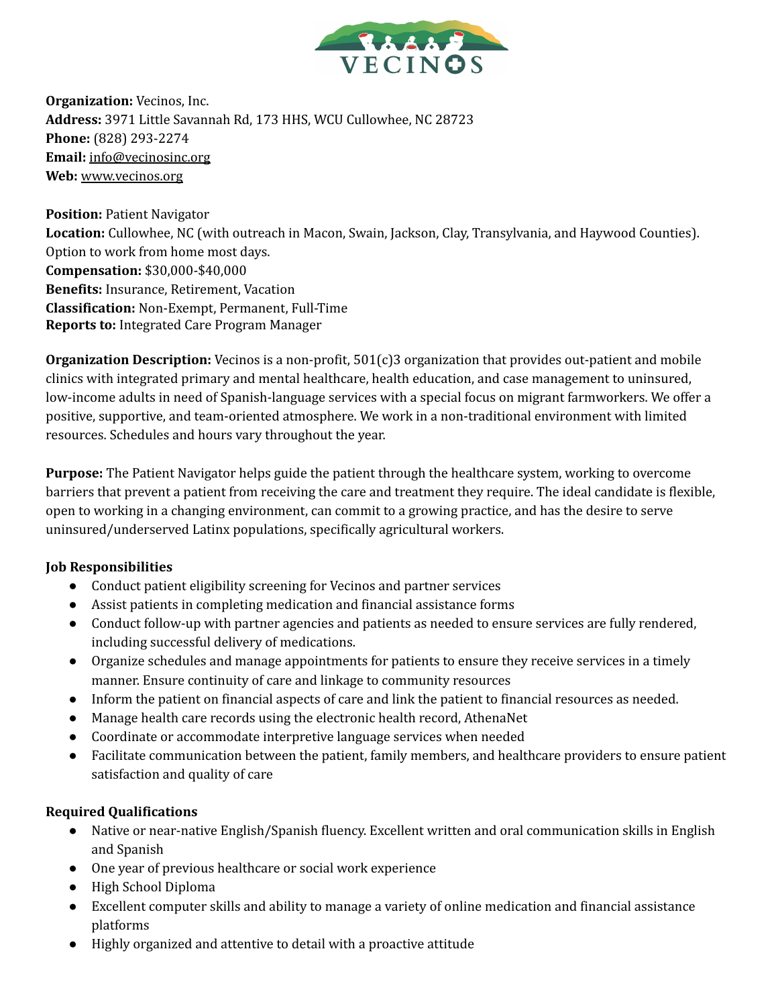

**Organization:** Vecinos, Inc. **Address:** 3971 Little Savannah Rd, 173 HHS, WCU Cullowhee, NC 28723 **Phone:** (828) 293-2274 **Email:** [info@vecinosinc.org](mailto:info@vecinosinc.org) **Web:** www.vecinos.org

**Position:** Patient Navigator **Location:** Cullowhee, NC (with outreach in Macon, Swain, Jackson, Clay, Transylvania, and Haywood Counties). Option to work from home most days. **Compensation:** \$30,000-\$40,000 **Benefits:** Insurance, Retirement, Vacation **Classification:** Non-Exempt, Permanent, Full-Time **Reports to:** Integrated Care Program Manager

**Organization Description:** Vecinos is a non-profit, 501(c)3 organization that provides out-patient and mobile clinics with integrated primary and mental healthcare, health education, and case management to uninsured, low-income adults in need of Spanish-language services with a special focus on migrant farmworkers. We offer a positive, supportive, and team-oriented atmosphere. We work in a non-traditional environment with limited resources. Schedules and hours vary throughout the year.

**Purpose:** The Patient Navigator helps guide the patient through the healthcare system, working to overcome barriers that prevent a patient from receiving the care and treatment they require. The ideal candidate is flexible, open to working in a changing environment, can commit to a growing practice, and has the desire to serve uninsured/underserved Latinx populations, specifically agricultural workers.

## **Job Responsibilities**

- Conduct patient eligibility screening for Vecinos and partner services
- Assist patients in completing medication and financial assistance forms
- Conduct follow-up with partner agencies and patients as needed to ensure services are fully rendered, including successful delivery of medications.
- Organize schedules and manage appointments for patients to ensure they receive services in a timely manner. Ensure continuity of care and linkage to community resources
- Inform the patient on financial aspects of care and link the patient to financial resources as needed.
- Manage health care records using the electronic health record, AthenaNet
- Coordinate or accommodate interpretive language services when needed
- Facilitate communication between the patient, family members, and healthcare providers to ensure patient satisfaction and quality of care

## **Required Qualifications**

- Native or near-native English/Spanish fluency. Excellent written and oral communication skills in English and Spanish
- One year of previous healthcare or social work experience
- High School Diploma
- Excellent computer skills and ability to manage a variety of online medication and financial assistance platforms
- Highly organized and attentive to detail with a proactive attitude